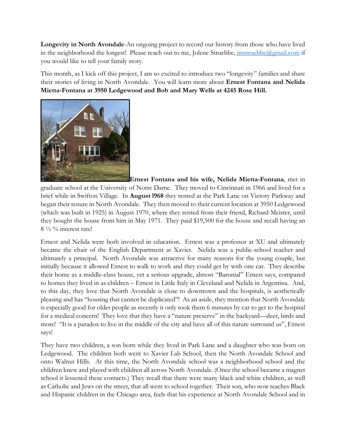Longevity in North Avondale-An ongoing project to record our history from those who have lived in the neighborhood the longest! Please reach out to me, Jolene Struebbe, *imstruebbe@gmail.com* if you would like to tell your family story.

This month, as I kick off this project, I am so excited to introduce two "longevity" families and share their stories of living in North Avondale. You will learn more about Ernest Fontana and Nelida Mietta-Fontana at 3950 Ledgewood and Bob and Mary Wells at 4245 Rose Hill.



Ernest Fontana and his wife, Nelida Mietta-Fontana, met in graduate school at the University of Notre Dame. They moved to Cincinnati in 1966 and lived for a brief while in Swifton Village. In August l968 they rented at the Park Lane on Victory Parkway and began their tenure in North Avondale. They then moved to their current location at 3950 Ledgewood (which was built in 1925) in August 1970, where they rented from their friend, Richard Meister, until they bought the house from him in May 1971. They paid \$19,500 for the house and recall having an  $8\frac{1}{2}\%$  interest rate!

Ernest and Nelida were both involved in education. Ernest was a professor at XU and ultimately became the chair of the English Department at Xavier. Nelida was a public-school teacher and ultimately a principal. North Avondale was attractive for many reasons for the young couple, but initially because it allowed Ernest to walk to work and they could get by with one car. They describe their home as a middle-class house, yet a serious upgrade, almost "Baronial" Ernest says, compared to homes they lived in as children – Ernest in Little Italy in Cleveland and Nelida in Argentina. And, to this day, they love that North Avondale is close to downtown and the hospitals, is aesthetically pleasing and has "housing that cannot be duplicated"! As an aside, they mention that North Avondale is especially good for older people as recently it only took them 6 minutes by car to get to the hospital for a medical concern! They love that they have a "nature preserve" in the backyard—deer, birds and more! "It is a paradox to live in the middle of the city and have all of this nature surround us", Ernest says!

They have two children, a son born while they lived in Park Lane and a daughter who was born on Ledgewood. The children both went to Xavier Lab School, then the North Avondale School and onto Walnut Hills. At this time, the North Avondale school was a neighborhood school and the children knew and played with children all across North Avondale. (Once the school became a magnet school it lessened these contacts.) They recall that there were many black and white children, as well as Catholic and Jews on the street, that all went to school together. Their son, who now teaches Black and Hispanic children in the Chicago area, feels that his experience at North Avondale School and in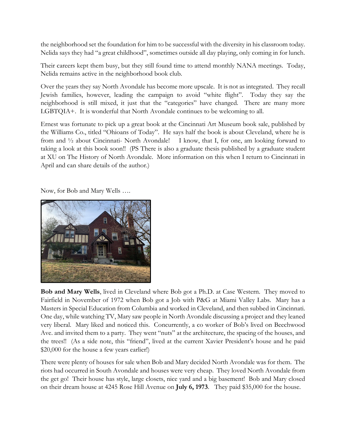the neighborhood set the foundation for him to be successful with the diversity in his classroom today. Nelida says they had "a great childhood", sometimes outside all day playing, only coming in for lunch.

Their careers kept them busy, but they still found time to attend monthly NANA meetings. Today, Nelida remains active in the neighborhood book club.

Over the years they say North Avondale has become more upscale. It is not as integrated. They recall Jewish families, however, leading the campaign to avoid "white flight". Today they say the neighborhood is still mixed, it just that the "categories" have changed. There are many more LGBTQIA+. It is wonderful that North Avondale continues to be welcoming to all.

Ernest was fortunate to pick up a great book at the Cincinnati Art Museum book sale, published by the Williams Co., titled "Ohioans of Today". He says half the book is about Cleveland, where he is from and ½ about Cincinnati- North Avondale! I know, that I, for one, am looking forward to taking a look at this book soon!! (PS There is also a graduate thesis published by a graduate student at XU on The History of North Avondale. More information on this when I return to Cincinnati in April and can share details of the author.)

Now, for Bob and Mary Wells ….



Bob and Mary Wells, lived in Cleveland where Bob got a Ph.D. at Case Western. They moved to Fairfield in November of 1972 when Bob got a Job with P&G at Miami Valley Labs. Mary has a Masters in Special Education from Columbia and worked in Cleveland, and then subbed in Cincinnati. One day, while watching TV, Mary saw people in North Avondale discussing a project and they leaned very liberal. Mary liked and noticed this. Concurrently, a co worker of Bob's lived on Beechwood Ave. and invited them to a party. They went "nuts" at the architecture, the spacing of the houses, and the trees!! (As a side note, this "friend", lived at the current Xavier President's house and he paid \$20,000 for the house a few years earlier!)

There were plenty of houses for sale when Bob and Mary decided North Avondale was for them. The riots had occurred in South Avondale and houses were very cheap. They loved North Avondale from the get go! Their house has style, large closets, nice yard and a big basement! Bob and Mary closed on their dream house at 4245 Rose Hill Avenue on July 6, 1973. They paid \$35,000 for the house.